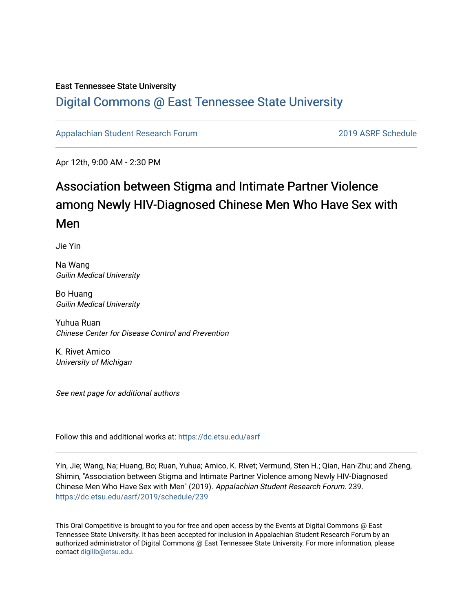### East Tennessee State University

### [Digital Commons @ East Tennessee State University](https://dc.etsu.edu/)

[Appalachian Student Research Forum](https://dc.etsu.edu/asrf) [2019 ASRF Schedule](https://dc.etsu.edu/asrf/2019) 

Apr 12th, 9:00 AM - 2:30 PM

### Association between Stigma and Intimate Partner Violence among Newly HIV-Diagnosed Chinese Men Who Have Sex with Men

Jie Yin

Na Wang Guilin Medical University

Bo Huang Guilin Medical University

Yuhua Ruan Chinese Center for Disease Control and Prevention

K. Rivet Amico University of Michigan

See next page for additional authors

Follow this and additional works at: [https://dc.etsu.edu/asrf](https://dc.etsu.edu/asrf?utm_source=dc.etsu.edu%2Fasrf%2F2019%2Fschedule%2F239&utm_medium=PDF&utm_campaign=PDFCoverPages) 

Yin, Jie; Wang, Na; Huang, Bo; Ruan, Yuhua; Amico, K. Rivet; Vermund, Sten H.; Qian, Han-Zhu; and Zheng, Shimin, "Association between Stigma and Intimate Partner Violence among Newly HIV-Diagnosed Chinese Men Who Have Sex with Men" (2019). Appalachian Student Research Forum. 239. [https://dc.etsu.edu/asrf/2019/schedule/239](https://dc.etsu.edu/asrf/2019/schedule/239?utm_source=dc.etsu.edu%2Fasrf%2F2019%2Fschedule%2F239&utm_medium=PDF&utm_campaign=PDFCoverPages) 

This Oral Competitive is brought to you for free and open access by the Events at Digital Commons @ East Tennessee State University. It has been accepted for inclusion in Appalachian Student Research Forum by an authorized administrator of Digital Commons @ East Tennessee State University. For more information, please contact [digilib@etsu.edu](mailto:digilib@etsu.edu).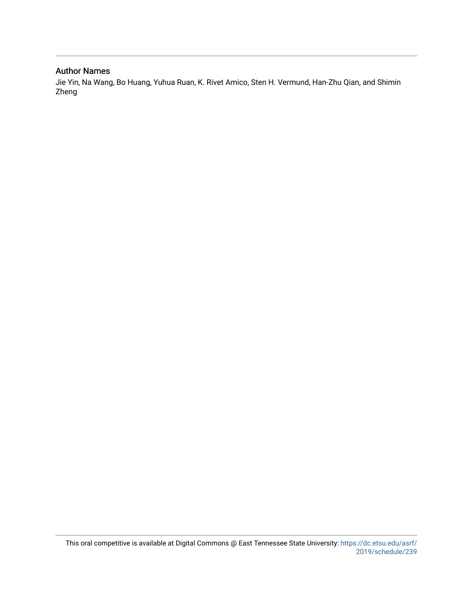### Author Names

Jie Yin, Na Wang, Bo Huang, Yuhua Ruan, K. Rivet Amico, Sten H. Vermund, Han-Zhu Qian, and Shimin Zheng